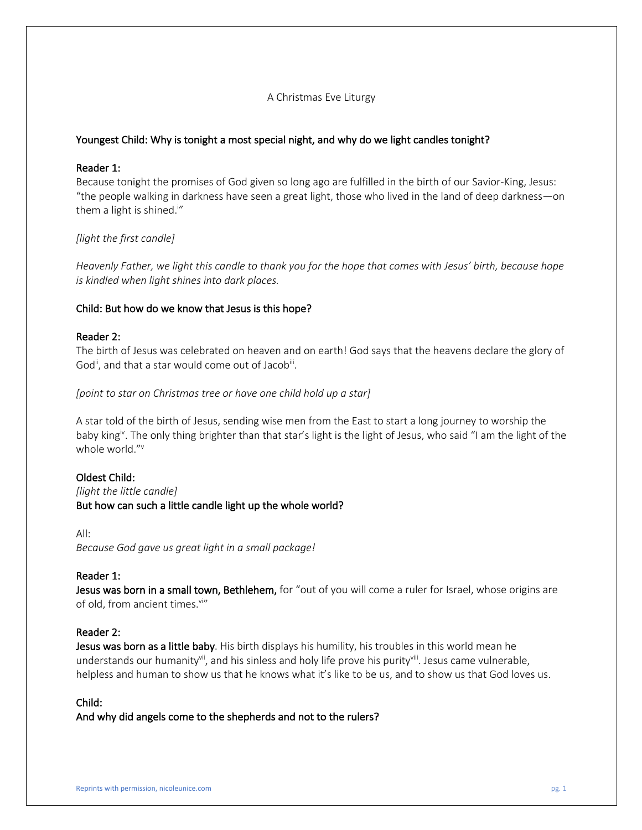# A Christmas Eve Liturgy

# Youngest Child: Why is tonight a most special night, and why do we light candles tonight?

# Reader 1:

Because tonight the promises of God given so long ago are fulfilled in the birth of our Savior-King, Jesus: "the people walking in darkness have seen a great light, those who lived in the land of deep darkness—on them a light is shined.<sup>i</sup>"

# *[light the first candle]*

*Heavenly Father, we light this candle to thank you for the hope that comes with Jesus' birth, because hope is kindled when light shines into dark places.* 

# Child: But how do we know that Jesus is this hope?

# Reader 2:

The birth of Jesus was celebrated on heaven and on earth! God says that the heavens declare the glory of God<sup>ii</sup>, and that a star would come out of Jacob<sup>iii</sup>.

#### *[point to star on Christmas tree or have one child hold up a star]*

A star told of the birth of Jesus, sending wise men from the East to start a long journey to worship the baby king<sup>iv</sup>. The only thing brighter than that star's light is the light of Jesus, who said "I am the light of the whole world."v

#### Oldest Child:

*[light the little candle]* But how can such a little candle light up the whole world?

All:

*Because God gave us great light in a small package!*

#### Reader 1:

Jesus was born in a small town, Bethlehem, for "out of you will come a ruler for Israel, whose origins are of old, from ancient times. Vi"

#### Reader 2:

Jesus was born as a little baby. His birth displays his humility, his troubles in this world mean he understands our humanity<sup>vii</sup>, and his sinless and holy life prove his purity<sup>viii</sup>. Jesus came vulnerable, helpless and human to show us that he knows what it's like to be us, and to show us that God loves us.

#### Child:

And why did angels come to the shepherds and not to the rulers?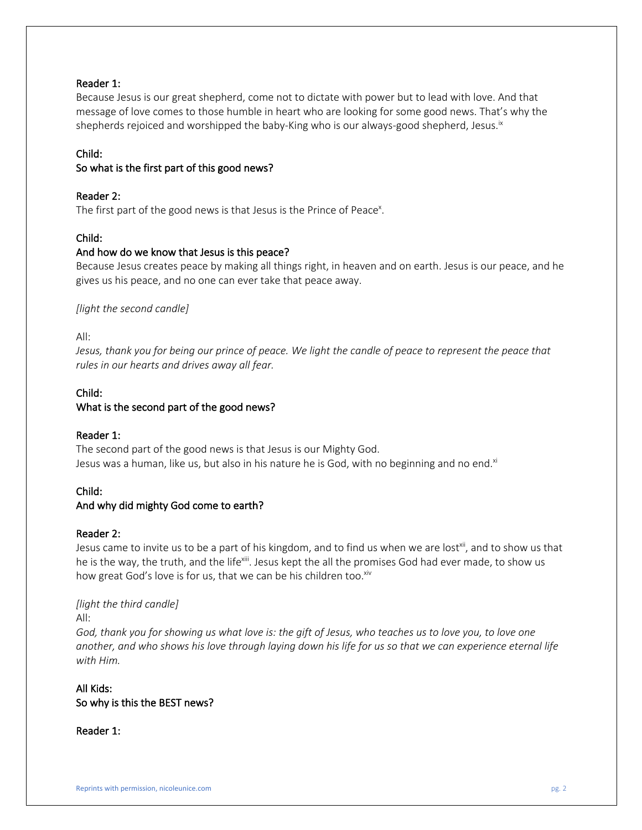# Reader 1:

Because Jesus is our great shepherd, come not to dictate with power but to lead with love. And that message of love comes to those humble in heart who are looking for some good news. That's why the shepherds rejoiced and worshipped the baby-King who is our always-good shepherd, Jesus. $i^{\kappa}$ 

#### Child:

# So what is the first part of this good news?

#### Reader 2:

The first part of the good news is that Jesus is the Prince of Peace<sup>x</sup>.

# Child:

#### And how do we know that Jesus is this peace?

Because Jesus creates peace by making all things right, in heaven and on earth. Jesus is our peace, and he gives us his peace, and no one can ever take that peace away.

#### *[light the second candle]*

All:

*Jesus, thank you for being our prince of peace. We light the candle of peace to represent the peace that rules in our hearts and drives away all fear.*

#### Child:

# What is the second part of the good news?

#### Reader 1:

The second part of the good news is that Jesus is our Mighty God. Jesus was a human, like us, but also in his nature he is God, with no beginning and no end.<sup>xi</sup>

# Child:

#### And why did mighty God come to earth?

#### Reader 2:

Jesus came to invite us to be a part of his kingdom, and to find us when we are lost<sup>xii</sup>, and to show us that he is the way, the truth, and the life<sup>xiii</sup>. Jesus kept the all the promises God had ever made, to show us how great God's love is for us, that we can be his children too.<sup>xiv</sup>

# *[light the third candle]*

All:

*God, thank you for showing us what love is: the gift of Jesus, who teaches us to love you, to love one another, and who shows his love through laying down his life for us so that we can experience eternal life with Him.*

# All Kids: So why is this the BEST news?

Reader 1: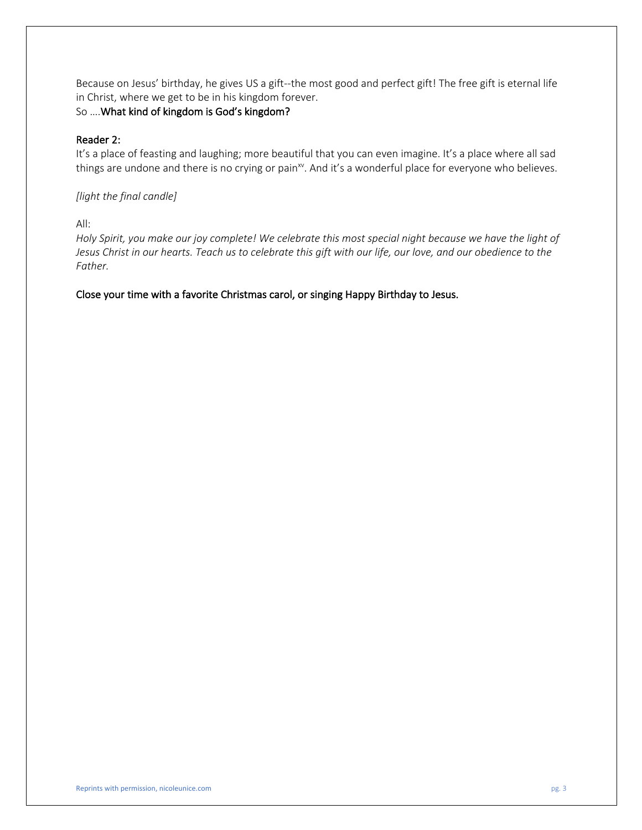Because on Jesus' birthday, he gives US a gift--the most good and perfect gift! The free gift is eternal life in Christ, where we get to be in his kingdom forever.

# So ….What kind of kingdom is God's kingdom?

# Reader 2:

It's a place of feasting and laughing; more beautiful that you can even imagine. It's a place where all sad things are undone and there is no crying or pain<sup>xv</sup>. And it's a wonderful place for everyone who believes.

# *[light the final candle]*

All:

*Holy Spirit, you make our joy complete! We celebrate this most special night because we have the light of Jesus Christ in our hearts. Teach us to celebrate this gift with our life, our love, and our obedience to the Father.*

Close your time with a favorite Christmas carol, or singing Happy Birthday to Jesus.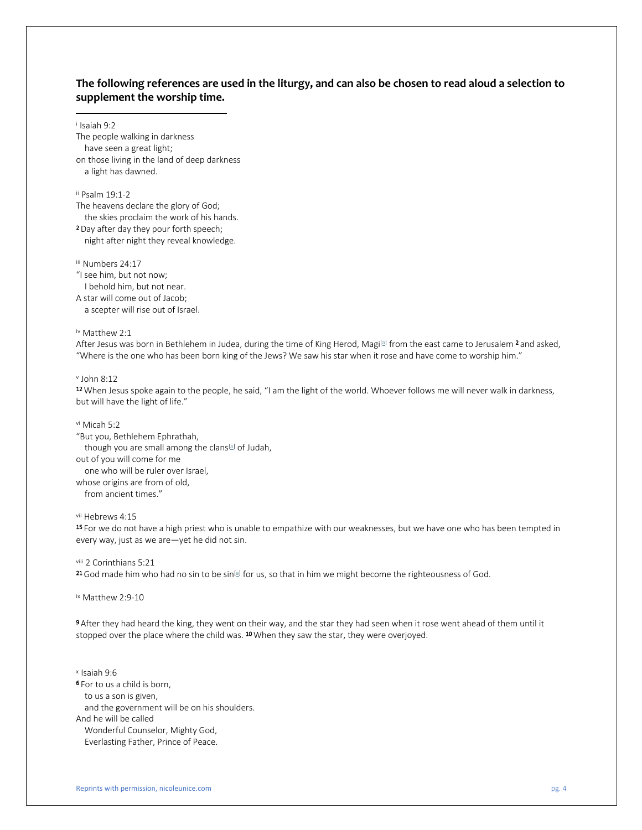#### **The following references are used in the liturgy, and can also be chosen to read aloud a selection to supplement the worship time.**

<sup>i</sup> Isaiah 9:2

The people walking in darkness have seen a great light; on those living in the land of deep darkness a light has dawned.

ii Psalm 19:1-2

The heavens declare the glory of God;

the skies proclaim the work of his hands.

2 Day after day they pour forth speech; night after night they reveal knowledge.

iii Numbers 24:17

"I see him, but not now;

I behold him, but not near.

A star will come out of Jacob;

a scepter will rise out of Israel.

iv Matthew 2:1

After Jesus was born in Bethlehem in Judea, during the time of King Herod, Magi�� from the east came to Jerusalem <sup>2</sup> and asked, "Where is the one who has been born king of the Jews? We saw his star when it rose and have come to worship him."

 $v$  John 8:12

12 When Jesus spoke again to the people, he said, "I am the light of the world. Whoever follows me will never walk in darkness, but will have the light of life."

vi Micah 5:2

"But you, Bethlehem Ephrathah, though you are small among the clans<sup>[a]</sup> of Judah, out of you will come for me one who will be ruler over Israel, whose origins are from of old, from ancient times."

vii Hebrews 4:15

15 For we do not have a high priest who is unable to empathize with our weaknesses, but we have one who has been tempted in every way, just as we are—yet he did not sin.

viii 2 Corinthians 5:21

 $^{21}$  God made him who had no sin to be sin $^{[a]}$  for us, so that in him we might become the righteousness of God.

ix Matthew 2:9-10

9 After they had heard the king, they went on their way, and the star they had seen when it rose went ahead of them until it stopped over the place where the child was. <sup>10</sup> When they saw the star, they were overjoyed.

<sup>x</sup> Isaiah 9:6 6 For to us a child is born, to us a son is given, and the government will be on his shoulders. And he will be called Wonderful Counselor, Mighty God, Everlasting Father, Prince of Peace.